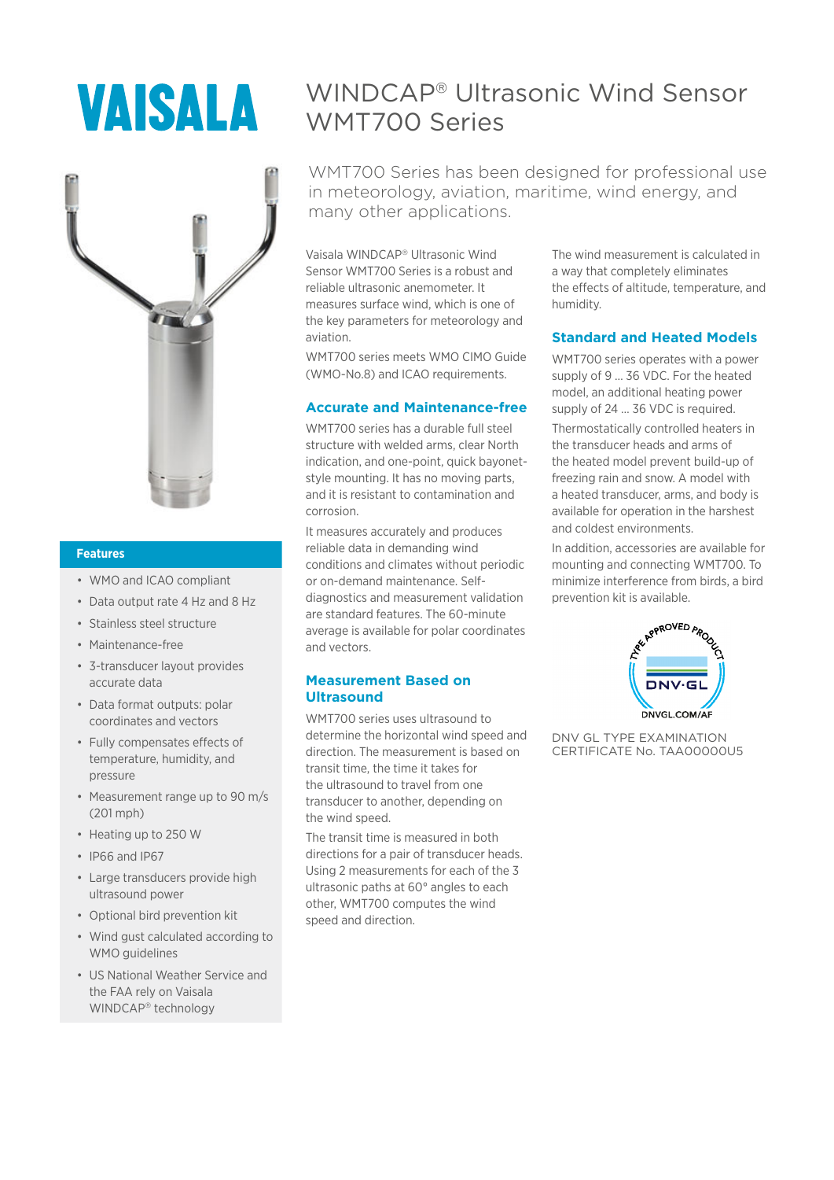# **VAISALA**



#### **Features**

- WMO and ICAO compliant
- Data output rate 4 Hz and 8 Hz
- Stainless steel structure
- Maintenance-free
- 3-transducer layout provides accurate data
- Data format outputs: polar coordinates and vectors
- Fully compensates effects of temperature, humidity, and pressure
- Measurement range up to 90 m/s (201 mph)
- Heating up to 250 W
- IP66 and IP67
- Large transducers provide high ultrasound power
- Optional bird prevention kit
- Wind gust calculated according to WMO guidelines
- US National Weather Service and the FAA rely on Vaisala WINDCAP<sup>®</sup> technology

# WINDCAP<sup>â</sup> Ultrasonic Wind Sensor WMT700 Series

WMT700 Series has been designed for professional use in meteorology, aviation, maritime, wind energy, and many other applications.

Vaisala WINDCAP<sup>®</sup> Ultrasonic Wind Sensor WMT700 Series is a robust and reliable ultrasonic anemometer. It measures surface wind, which is one of the key parameters for meteorology and aviation.

WMT700 series meets WMO CIMO Guide (WMO-No.8) and ICAO requirements.

#### **Accurate and Maintenance-free**

WMT700 series has a durable full steel structure with welded arms, clear North indication, and one-point, quick bayonetstyle mounting. It has no moving parts, and it is resistant to contamination and corrosion.

It measures accurately and produces reliable data in demanding wind conditions and climates without periodic or on-demand maintenance. Selfdiagnostics and measurement validation are standard features. The 60-minute average is available for polar coordinates and vectors.

#### **Measurement Based on Ultrasound**

WMT700 series uses ultrasound to determine the horizontal wind speed and direction. The measurement is based on transit time, the time it takes for the ultrasound to travel from one transducer to another, depending on the wind speed.

The transit time is measured in both directions for a pair of transducer heads. Using 2 measurements for each of the 3 ultrasonic paths at 60° angles to each other, WMT700 computes the wind speed and direction.

The wind measurement is calculated in a way that completely eliminates the effects of altitude, temperature, and humidity.

#### **Standard and Heated Models**

WMT700 series operates with a power supply of 9 … 36 VDC. For the heated model, an additional heating power supply of 24 … 36 VDC is required. Thermostatically controlled heaters in the transducer heads and arms of the heated model prevent build-up of freezing rain and snow. A model with a heated transducer, arms, and body is available for operation in the harshest and coldest environments.

In addition, accessories are available for mounting and connecting WMT700. To minimize interference from birds, a bird prevention kit is available.



DNV GL TYPE EXAMINATION CERTIFICATE No. TAA00000U5